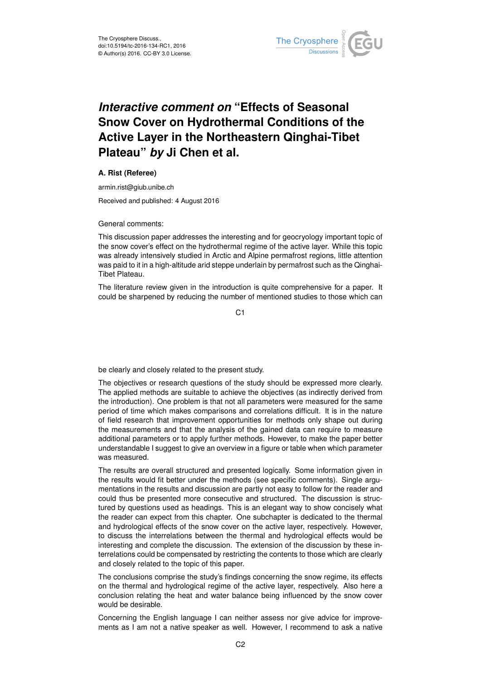

## *Interactive comment on* **"Effects of Seasonal Snow Cover on Hydrothermal Conditions of the Active Layer in the Northeastern Qinghai-Tibet Plateau"** *by* **Ji Chen et al.**

## **A. Rist (Referee)**

armin.rist@giub.unibe.ch

Received and published: 4 August 2016

General comments:

This discussion paper addresses the interesting and for geocryology important topic of the snow cover's effect on the hydrothermal regime of the active layer. While this topic was already intensively studied in Arctic and Alpine permafrost regions, little attention was paid to it in a high-altitude arid steppe underlain by permafrost such as the Qinghai-Tibet Plateau.

The literature review given in the introduction is quite comprehensive for a paper. It could be sharpened by reducing the number of mentioned studies to those which can

C<sub>1</sub>

be clearly and closely related to the present study.

The objectives or research questions of the study should be expressed more clearly. The applied methods are suitable to achieve the objectives (as indirectly derived from the introduction). One problem is that not all parameters were measured for the same period of time which makes comparisons and correlations difficult. It is in the nature of field research that improvement opportunities for methods only shape out during the measurements and that the analysis of the gained data can require to measure additional parameters or to apply further methods. However, to make the paper better understandable I suggest to give an overview in a figure or table when which parameter was measured.

The results are overall structured and presented logically. Some information given in the results would fit better under the methods (see specific comments). Single argumentations in the results and discussion are partly not easy to follow for the reader and could thus be presented more consecutive and structured. The discussion is structured by questions used as headings. This is an elegant way to show concisely what the reader can expect from this chapter. One subchapter is dedicated to the thermal and hydrological effects of the snow cover on the active layer, respectively. However, to discuss the interrelations between the thermal and hydrological effects would be interesting and complete the discussion. The extension of the discussion by these interrelations could be compensated by restricting the contents to those which are clearly and closely related to the topic of this paper.

The conclusions comprise the study's findings concerning the snow regime, its effects on the thermal and hydrological regime of the active layer, respectively. Also here a conclusion relating the heat and water balance being influenced by the snow cover would be desirable.

Concerning the English language I can neither assess nor give advice for improvements as I am not a native speaker as well. However, I recommend to ask a native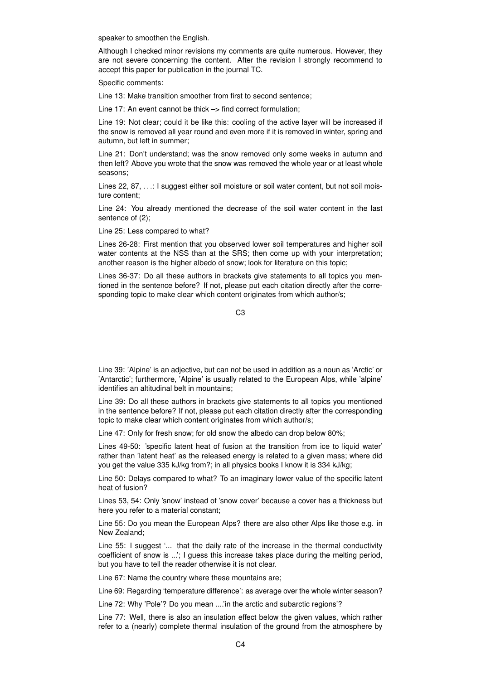speaker to smoothen the English.

Although I checked minor revisions my comments are quite numerous. However, they are not severe concerning the content. After the revision I strongly recommend to accept this paper for publication in the journal TC.

Specific comments:

Line 13: Make transition smoother from first to second sentence;

Line 17: An event cannot be thick –> find correct formulation;

Line 19: Not clear; could it be like this: cooling of the active layer will be increased if the snow is removed all year round and even more if it is removed in winter, spring and autumn, but left in summer;

Line 21: Don't understand; was the snow removed only some weeks in autumn and then left? Above you wrote that the snow was removed the whole year or at least whole seasons;

Lines 22, 87, ...: I suggest either soil moisture or soil water content, but not soil moisture content;

Line 24: You already mentioned the decrease of the soil water content in the last sentence of  $(2)$ ;

Line 25: Less compared to what?

Lines 26-28: First mention that you observed lower soil temperatures and higher soil water contents at the NSS than at the SRS; then come up with your interpretation; another reason is the higher albedo of snow; look for literature on this topic;

Lines 36-37: Do all these authors in brackets give statements to all topics you mentioned in the sentence before? If not, please put each citation directly after the corresponding topic to make clear which content originates from which author/s;

C3

Line 39: 'Alpine' is an adjective, but can not be used in addition as a noun as 'Arctic' or 'Antarctic'; furthermore, 'Alpine' is usually related to the European Alps, while 'alpine' identifies an altitudinal belt in mountains;

Line 39: Do all these authors in brackets give statements to all topics you mentioned in the sentence before? If not, please put each citation directly after the corresponding topic to make clear which content originates from which author/s;

Line 47: Only for fresh snow; for old snow the albedo can drop below 80%;

Lines 49-50: 'specific latent heat of fusion at the transition from ice to liquid water' rather than 'latent heat' as the released energy is related to a given mass; where did you get the value 335 kJ/kg from?; in all physics books I know it is 334 kJ/kg;

Line 50: Delays compared to what? To an imaginary lower value of the specific latent heat of fusion?

Lines 53, 54: Only 'snow' instead of 'snow cover' because a cover has a thickness but here you refer to a material constant;

Line 55: Do you mean the European Alps? there are also other Alps like those e.g. in New Zealand;

Line 55: I suggest '... that the daily rate of the increase in the thermal conductivity coefficient of snow is ...'; I guess this increase takes place during the melting period, but you have to tell the reader otherwise it is not clear.

Line 67: Name the country where these mountains are;

Line 69: Regarding 'temperature difference': as average over the whole winter season?

Line 72: Why 'Pole'? Do you mean ....'in the arctic and subarctic regions'?

Line 77: Well, there is also an insulation effect below the given values, which rather refer to a (nearly) complete thermal insulation of the ground from the atmosphere by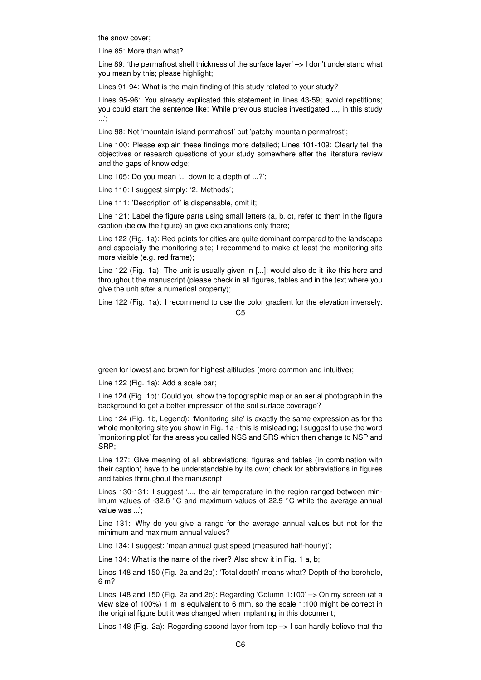the snow cover;

Line 85: More than what?

Line 89: 'the permafrost shell thickness of the surface layer' -> I don't understand what you mean by this; please highlight;

Lines 91-94: What is the main finding of this study related to your study?

Lines 95-96: You already explicated this statement in lines 43-59; avoid repetitions; you could start the sentence like: While previous studies investigated ..., in this study ...';

Line 98: Not 'mountain island permafrost' but 'patchy mountain permafrost';

Line 100: Please explain these findings more detailed; Lines 101-109: Clearly tell the objectives or research questions of your study somewhere after the literature review and the gaps of knowledge;

Line 105: Do you mean '... down to a depth of ...?';

Line 110: I suggest simply: '2. Methods';

Line 111: 'Description of' is dispensable, omit it;

Line 121: Label the figure parts using small letters (a, b, c), refer to them in the figure caption (below the figure) an give explanations only there;

Line 122 (Fig. 1a): Red points for cities are quite dominant compared to the landscape and especially the monitoring site; I recommend to make at least the monitoring site more visible (e.g. red frame);

Line 122 (Fig. 1a): The unit is usually given in [...]; would also do it like this here and throughout the manuscript (please check in all figures, tables and in the text where you give the unit after a numerical property);

Line 122 (Fig. 1a): I recommend to use the color gradient for the elevation inversely:

 $C<sub>5</sub>$ 

green for lowest and brown for highest altitudes (more common and intuitive);

Line 122 (Fig. 1a): Add a scale bar;

Line 124 (Fig. 1b): Could you show the topographic map or an aerial photograph in the background to get a better impression of the soil surface coverage?

Line 124 (Fig. 1b, Legend): 'Monitoring site' is exactly the same expression as for the whole monitoring site you show in Fig. 1a - this is misleading; I suggest to use the word 'monitoring plot' for the areas you called NSS and SRS which then change to NSP and SRP;

Line 127: Give meaning of all abbreviations; figures and tables (in combination with their caption) have to be understandable by its own; check for abbreviations in figures and tables throughout the manuscript;

Lines 130-131: I suggest '..., the air temperature in the region ranged between minimum values of -32.6  $\degree$ C and maximum values of 22.9  $\degree$ C while the average annual value was ...';

Line 131: Why do you give a range for the average annual values but not for the minimum and maximum annual values?

Line 134: I suggest: 'mean annual gust speed (measured half-hourly)';

Line 134: What is the name of the river? Also show it in Fig. 1 a, b;

Lines 148 and 150 (Fig. 2a and 2b): 'Total depth' means what? Depth of the borehole, 6 m?

Lines 148 and 150 (Fig. 2a and 2b): Regarding 'Column 1:100' –> On my screen (at a view size of 100%) 1 m is equivalent to 6 mm, so the scale 1:100 might be correct in the original figure but it was changed when implanting in this document;

Lines 148 (Fig. 2a): Regarding second layer from top  $\rightarrow$  I can hardly believe that the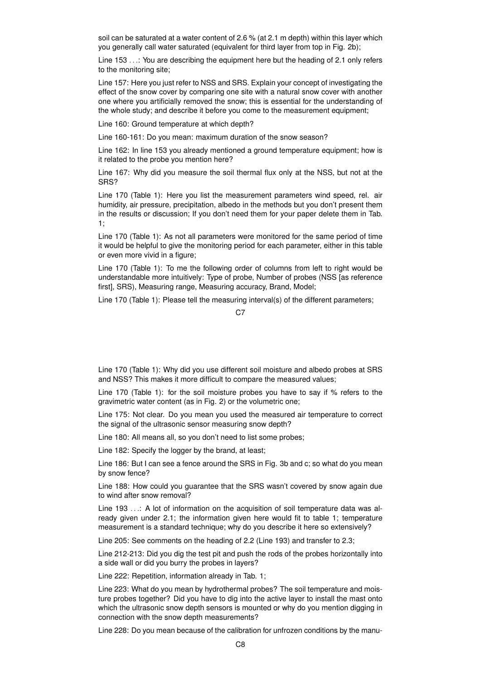soil can be saturated at a water content of 2.6 % (at 2.1 m depth) within this layer which you generally call water saturated (equivalent for third layer from top in Fig. 2b);

Line 153 . . .: You are describing the equipment here but the heading of 2.1 only refers to the monitoring site;

Line 157: Here you just refer to NSS and SRS. Explain your concept of investigating the effect of the snow cover by comparing one site with a natural snow cover with another one where you artificially removed the snow; this is essential for the understanding of the whole study; and describe it before you come to the measurement equipment;

Line 160: Ground temperature at which depth?

Line 160-161: Do you mean: maximum duration of the snow season?

Line 162: In line 153 you already mentioned a ground temperature equipment; how is it related to the probe you mention here?

Line 167: Why did you measure the soil thermal flux only at the NSS, but not at the SRS?

Line 170 (Table 1): Here you list the measurement parameters wind speed, rel. air humidity, air pressure, precipitation, albedo in the methods but you don't present them in the results or discussion; If you don't need them for your paper delete them in Tab. 1;

Line 170 (Table 1): As not all parameters were monitored for the same period of time it would be helpful to give the monitoring period for each parameter, either in this table or even more vivid in a figure;

Line 170 (Table 1): To me the following order of columns from left to right would be understandable more intuitively: Type of probe, Number of probes (NSS [as reference first], SRS), Measuring range, Measuring accuracy, Brand, Model;

Line 170 (Table 1): Please tell the measuring interval(s) of the different parameters;

 $C<sub>2</sub>$ 

Line 170 (Table 1): Why did you use different soil moisture and albedo probes at SRS and NSS? This makes it more difficult to compare the measured values;

Line 170 (Table 1): for the soil moisture probes you have to say if % refers to the gravimetric water content (as in Fig. 2) or the volumetric one;

Line 175: Not clear. Do you mean you used the measured air temperature to correct the signal of the ultrasonic sensor measuring snow depth?

Line 180: All means all, so you don't need to list some probes;

Line 182: Specify the logger by the brand, at least;

Line 186: But I can see a fence around the SRS in Fig. 3b and c; so what do you mean by snow fence?

Line 188: How could you guarantee that the SRS wasn't covered by snow again due to wind after snow removal?

Line 193 ...: A lot of information on the acquisition of soil temperature data was already given under 2.1; the information given here would fit to table 1; temperature measurement is a standard technique; why do you describe it here so extensively?

Line 205: See comments on the heading of 2.2 (Line 193) and transfer to 2.3;

Line 212-213: Did you dig the test pit and push the rods of the probes horizontally into a side wall or did you burry the probes in layers?

Line 222: Repetition, information already in Tab. 1;

Line 223: What do you mean by hydrothermal probes? The soil temperature and moisture probes together? Did you have to dig into the active layer to install the mast onto which the ultrasonic snow depth sensors is mounted or why do you mention digging in connection with the snow depth measurements?

Line 228: Do you mean because of the calibration for unfrozen conditions by the manu-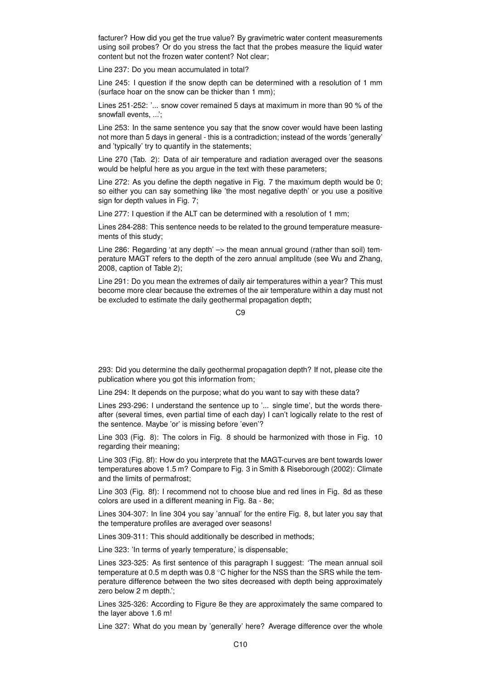facturer? How did you get the true value? By gravimetric water content measurements using soil probes? Or do you stress the fact that the probes measure the liquid water content but not the frozen water content? Not clear;

Line 237: Do you mean accumulated in total?

Line 245: I question if the snow depth can be determined with a resolution of 1 mm (surface hoar on the snow can be thicker than 1 mm);

Lines 251-252: '... snow cover remained 5 days at maximum in more than 90 % of the snowfall events, ...';

Line 253: In the same sentence you say that the snow cover would have been lasting not more than 5 days in general - this is a contradiction; instead of the words 'generally' and 'typically' try to quantify in the statements;

Line 270 (Tab. 2): Data of air temperature and radiation averaged over the seasons would be helpful here as you argue in the text with these parameters;

Line 272: As you define the depth negative in Fig. 7 the maximum depth would be 0; so either you can say something like 'the most negative depth' or you use a positive sign for depth values in Fig. 7;

Line 277: I question if the ALT can be determined with a resolution of 1 mm;

Lines 284-288: This sentence needs to be related to the ground temperature measurements of this study;

Line 286: Regarding 'at any depth'  $\rightarrow$  the mean annual ground (rather than soil) temperature MAGT refers to the depth of the zero annual amplitude (see Wu and Zhang, 2008, caption of Table 2);

Line 291: Do you mean the extremes of daily air temperatures within a year? This must become more clear because the extremes of the air temperature within a day must not be excluded to estimate the daily geothermal propagation depth;

 $C<sub>9</sub>$ 

293: Did you determine the daily geothermal propagation depth? If not, please cite the publication where you got this information from;

Line 294: It depends on the purpose; what do you want to say with these data?

Lines 293-296: I understand the sentence up to '... single time', but the words thereafter (several times, even partial time of each day) I can't logically relate to the rest of the sentence. Maybe 'or' is missing before 'even'?

Line 303 (Fig. 8): The colors in Fig. 8 should be harmonized with those in Fig. 10 regarding their meaning;

Line 303 (Fig. 8f): How do you interprete that the MAGT-curves are bent towards lower temperatures above 1.5 m? Compare to Fig. 3 in Smith & Riseborough (2002): Climate and the limits of permafrost;

Line 303 (Fig. 8f): I recommend not to choose blue and red lines in Fig. 8d as these colors are used in a different meaning in Fig. 8a - 8e;

Lines 304-307: In line 304 you say 'annual' for the entire Fig. 8, but later you say that the temperature profiles are averaged over seasons!

Lines 309-311: This should additionally be described in methods;

Line 323: 'In terms of yearly temperature,' is dispensable;

Lines 323-325: As first sentence of this paragraph I suggest: 'The mean annual soil temperature at 0.5 m depth was 0.8 °C higher for the NSS than the SRS while the temperature difference between the two sites decreased with depth being approximately zero below 2 m depth.';

Lines 325-326: According to Figure 8e they are approximately the same compared to the layer above 1.6 m!

Line 327: What do you mean by 'generally' here? Average difference over the whole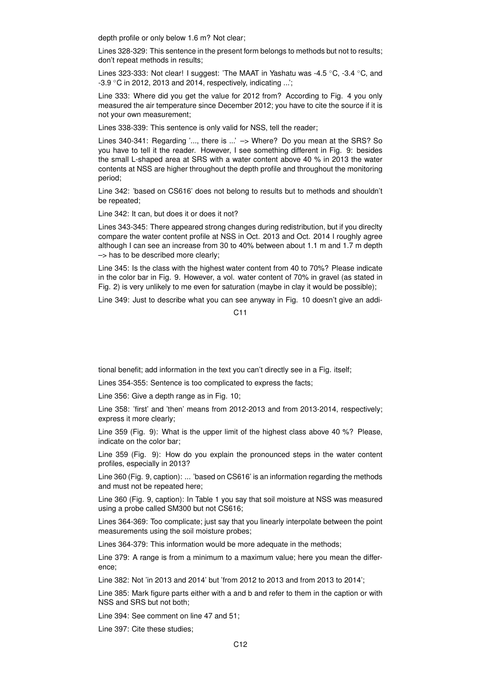depth profile or only below 1.6 m? Not clear;

Lines 328-329: This sentence in the present form belongs to methods but not to results; don't repeat methods in results;

Lines 323-333: Not clear! I suggest: 'The MAAT in Yashatu was -4.5 ◦C, -3.4 ◦C, and -3.9 ◦C in 2012, 2013 and 2014, respectively, indicating ...';

Line 333: Where did you get the value for 2012 from? According to Fig. 4 you only measured the air temperature since December 2012; you have to cite the source if it is not your own measurement;

Lines 338-339: This sentence is only valid for NSS, tell the reader;

Lines 340-341: Regarding '..., there is ...' -> Where? Do you mean at the SRS? So you have to tell it the reader. However, I see something different in Fig. 9: besides the small L-shaped area at SRS with a water content above 40 % in 2013 the water contents at NSS are higher throughout the depth profile and throughout the monitoring period;

Line 342: 'based on CS616' does not belong to results but to methods and shouldn't be repeated;

Line 342: It can, but does it or does it not?

Lines 343-345: There appeared strong changes during redistribution, but if you direclty compare the water content profile at NSS in Oct. 2013 and Oct. 2014 I roughly agree although I can see an increase from 30 to 40% between about 1.1 m and 1.7 m depth –> has to be described more clearly;

Line 345: Is the class with the highest water content from 40 to 70%? Please indicate in the color bar in Fig. 9. However, a vol. water content of 70% in gravel (as stated in Fig. 2) is very unlikely to me even for saturation (maybe in clay it would be possible);

Line 349: Just to describe what you can see anyway in Fig. 10 doesn't give an addi-

C11

tional benefit; add information in the text you can't directly see in a Fig. itself;

Lines 354-355: Sentence is too complicated to express the facts;

Line 356: Give a depth range as in Fig. 10;

Line 358: 'first' and 'then' means from 2012-2013 and from 2013-2014, respectively; express it more clearly;

Line 359 (Fig. 9): What is the upper limit of the highest class above 40 %? Please, indicate on the color bar;

Line 359 (Fig. 9): How do you explain the pronounced steps in the water content profiles, especially in 2013?

Line 360 (Fig. 9, caption): ... 'based on CS616' is an information regarding the methods and must not be repeated here;

Line 360 (Fig. 9, caption): In Table 1 you say that soil moisture at NSS was measured using a probe called SM300 but not CS616;

Lines 364-369: Too complicate; just say that you linearly interpolate between the point measurements using the soil moisture probes;

Lines 364-379: This information would be more adequate in the methods;

Line 379: A range is from a minimum to a maximum value; here you mean the difference;

Line 382: Not 'in 2013 and 2014' but 'from 2012 to 2013 and from 2013 to 2014';

Line 385: Mark figure parts either with a and b and refer to them in the caption or with NSS and SRS but not both;

Line 394: See comment on line 47 and 51;

Line 397: Cite these studies;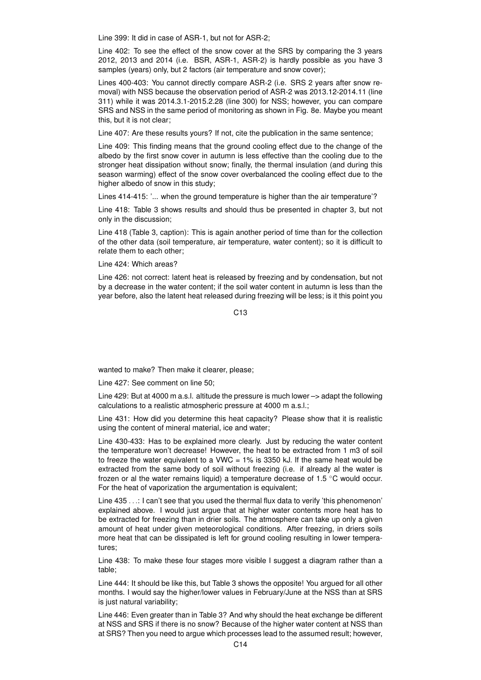Line 399: It did in case of ASR-1, but not for ASR-2;

Line 402: To see the effect of the snow cover at the SRS by comparing the 3 years 2012, 2013 and 2014 (i.e. BSR, ASR-1, ASR-2) is hardly possible as you have 3 samples (years) only, but 2 factors (air temperature and snow cover);

Lines 400-403: You cannot directly compare ASR-2 (i.e. SRS 2 years after snow removal) with NSS because the observation period of ASR-2 was 2013.12-2014.11 (line 311) while it was 2014.3.1-2015.2.28 (line 300) for NSS; however, you can compare SRS and NSS in the same period of monitoring as shown in Fig. 8e. Maybe you meant this, but it is not clear;

Line 407: Are these results yours? If not, cite the publication in the same sentence;

Line 409: This finding means that the ground cooling effect due to the change of the albedo by the first snow cover in autumn is less effective than the cooling due to the stronger heat dissipation without snow; finally, the thermal insulation (and during this season warming) effect of the snow cover overbalanced the cooling effect due to the higher albedo of snow in this study;

Lines 414-415: '... when the ground temperature is higher than the air temperature'?

Line 418: Table 3 shows results and should thus be presented in chapter 3, but not only in the discussion;

Line 418 (Table 3, caption): This is again another period of time than for the collection of the other data (soil temperature, air temperature, water content); so it is difficult to relate them to each other;

Line 424: Which areas?

Line 426: not correct: latent heat is released by freezing and by condensation, but not by a decrease in the water content; if the soil water content in autumn is less than the year before, also the latent heat released during freezing will be less; is it this point you

 $C<sub>13</sub>$ 

wanted to make? Then make it clearer, please;

Line 427: See comment on line 50;

Line 429: But at 4000 m a.s.l. altitude the pressure is much lower –> adapt the following calculations to a realistic atmospheric pressure at 4000 m a.s.l.;

Line 431: How did you determine this heat capacity? Please show that it is realistic using the content of mineral material, ice and water;

Line 430-433: Has to be explained more clearly. Just by reducing the water content the temperature won't decrease! However, the heat to be extracted from 1 m3 of soil to freeze the water equivalent to a VWC =  $1\%$  is 3350 kJ. If the same heat would be extracted from the same body of soil without freezing (i.e. if already al the water is frozen or al the water remains liquid) a temperature decrease of 1.5  $\degree$ C would occur. For the heat of vaporization the argumentation is equivalent;

Line 435 . . .: I can't see that you used the thermal flux data to verify 'this phenomenon' explained above. I would just argue that at higher water contents more heat has to be extracted for freezing than in drier soils. The atmosphere can take up only a given amount of heat under given meteorological conditions. After freezing, in driers soils more heat that can be dissipated is left for ground cooling resulting in lower temperatures;

Line 438: To make these four stages more visible I suggest a diagram rather than a table;

Line 444: It should be like this, but Table 3 shows the opposite! You argued for all other months. I would say the higher/lower values in February/June at the NSS than at SRS is just natural variability;

Line 446: Even greater than in Table 3? And why should the heat exchange be different at NSS and SRS if there is no snow? Because of the higher water content at NSS than at SRS? Then you need to argue which processes lead to the assumed result; however,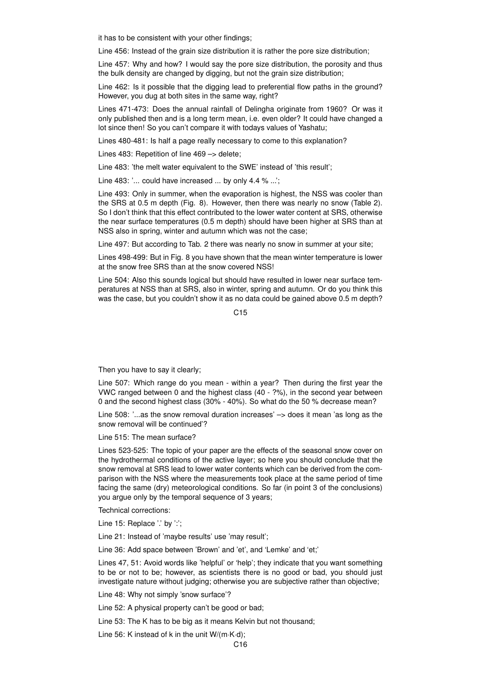it has to be consistent with your other findings;

Line 456: Instead of the grain size distribution it is rather the pore size distribution;

Line 457: Why and how? I would say the pore size distribution, the porosity and thus the bulk density are changed by digging, but not the grain size distribution;

Line 462: Is it possible that the digging lead to preferential flow paths in the ground? However, you dug at both sites in the same way, right?

Lines 471-473: Does the annual rainfall of Delingha originate from 1960? Or was it only published then and is a long term mean, i.e. even older? It could have changed a lot since then! So you can't compare it with todays values of Yashatu;

Lines 480-481: Is half a page really necessary to come to this explanation?

Lines 483: Repetition of line 469 –> delete;

Line 483: 'the melt water equivalent to the SWE' instead of 'this result';

Line 483: '... could have increased ... by only 4.4 % ...';

Line 493: Only in summer, when the evaporation is highest, the NSS was cooler than the SRS at 0.5 m depth (Fig. 8). However, then there was nearly no snow (Table 2). So I don't think that this effect contributed to the lower water content at SRS, otherwise the near surface temperatures (0.5 m depth) should have been higher at SRS than at NSS also in spring, winter and autumn which was not the case;

Line 497: But according to Tab. 2 there was nearly no snow in summer at your site;

Lines 498-499: But in Fig. 8 you have shown that the mean winter temperature is lower at the snow free SRS than at the snow covered NSS!

Line 504: Also this sounds logical but should have resulted in lower near surface temperatures at NSS than at SRS, also in winter, spring and autumn. Or do you think this was the case, but you couldn't show it as no data could be gained above 0.5 m depth?

C<sub>15</sub>

Then you have to say it clearly;

Line 507: Which range do you mean - within a year? Then during the first year the VWC ranged between 0 and the highest class (40 - ?%), in the second year between 0 and the second highest class (30% - 40%). So what do the 50 % decrease mean?

Line 508: '...as the snow removal duration increases' –> does it mean 'as long as the snow removal will be continued'?

Line 515: The mean surface?

Lines 523-525: The topic of your paper are the effects of the seasonal snow cover on the hydrothermal conditions of the active layer; so here you should conclude that the snow removal at SRS lead to lower water contents which can be derived from the comparison with the NSS where the measurements took place at the same period of time facing the same (dry) meteorological conditions. So far (in point 3 of the conclusions) you argue only by the temporal sequence of 3 years;

Technical corrections:

Line 15: Replace '.' by ':';

Line 21: Instead of 'maybe results' use 'may result';

Line 36: Add space between 'Brown' and 'et', and 'Lemke' and 'et;'

Lines 47, 51: Avoid words like 'helpful' or 'help'; they indicate that you want something to be or not to be; however, as scientists there is no good or bad, you should just investigate nature without judging; otherwise you are subjective rather than objective;

Line 48: Why not simply 'snow surface'?

Line 52: A physical property can't be good or bad;

Line 53: The K has to be big as it means Kelvin but not thousand;

Line 56: K instead of k in the unit W/(m·K·d);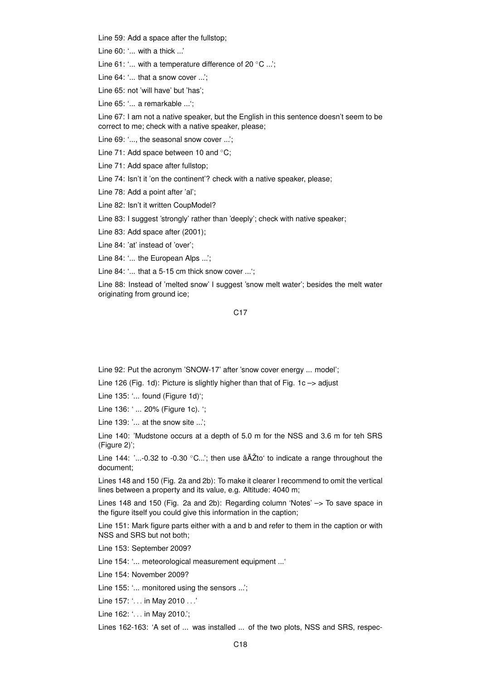Line 59: Add a space after the fullstop;

Line 60: '... with a thick ...'

Line 61: '... with a temperature difference of 20 ◦C ...';

Line 64: '... that a snow cover ...';

Line 65: not 'will have' but 'has';

Line 65: '... a remarkable ...';

Line 67: I am not a native speaker, but the English in this sentence doesn't seem to be correct to me; check with a native speaker, please;

Line 69: '..., the seasonal snow cover ...';

Line 71: Add space between 10 and ◦C;

Line 71: Add space after fullstop;

Line 74: Isn't it 'on the continent'? check with a native speaker, please;

Line 78: Add a point after 'al';

Line 82: Isn't it written CoupModel?

Line 83: I suggest 'strongly' rather than 'deeply'; check with native speaker;

Line 83: Add space after (2001);

Line 84: 'at' instead of 'over';

Line 84: '... the European Alps ...';

Line 84: '... that a 5-15 cm thick snow cover ...';

Line 88: Instead of 'melted snow' I suggest 'snow melt water'; besides the melt water originating from ground ice;

C17

Line 92: Put the acronym 'SNOW-17' after 'snow cover energy ... model';

Line 126 (Fig. 1d): Picture is slightly higher than that of Fig. 1c -> adjust

Line 135: '... found (Figure 1d)';

Line 136: ' ... 20% (Figure 1c). ';

Line 139: '... at the snow site ...';

Line 140: 'Mudstone occurs at a depth of 5.0 m for the NSS and 3.6 m for teh SRS (Figure 2)';

Line 144: '...-0.32 to -0.30  $°C..$ '; then use  $\hat{a}$ AŽto' to indicate a range throughout the document;

Lines 148 and 150 (Fig. 2a and 2b): To make it clearer I recommend to omit the vertical lines between a property and its value, e.g. Altitude: 4040 m;

Lines 148 and 150 (Fig. 2a and 2b): Regarding column 'Notes' –> To save space in the figure itself you could give this information in the caption;

Line 151: Mark figure parts either with a and b and refer to them in the caption or with NSS and SRS but not both;

Line 153: September 2009?

Line 154: '... meteorological measurement equipment ...'

Line 154: November 2009?

Line 155: '... monitored using the sensors ...';

Line 157: '. . . in May 2010 . . .'

Line 162: '... in May 2010.';

Lines 162-163: 'A set of ... was installed ... of the two plots, NSS and SRS, respec-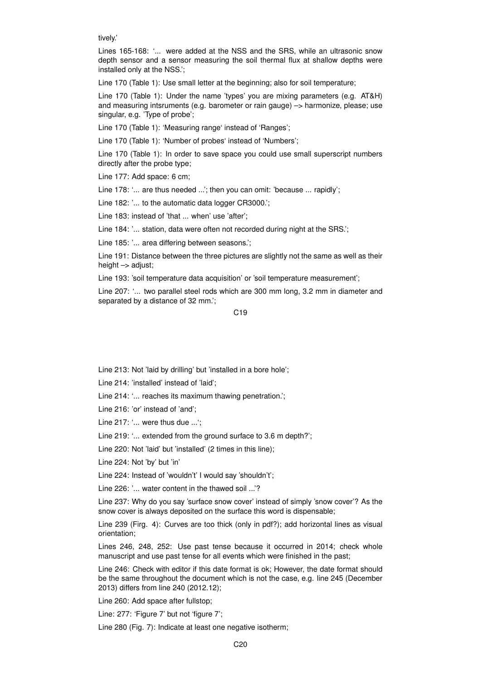tively.'

Lines 165-168: '... were added at the NSS and the SRS, while an ultrasonic snow depth sensor and a sensor measuring the soil thermal flux at shallow depths were installed only at the NSS.';

Line 170 (Table 1): Use small letter at the beginning; also for soil temperature;

Line 170 (Table 1): Under the name 'types' you are mixing parameters (e.g. AT&H) and measuring intsruments (e.g. barometer or rain gauge) –> harmonize, please; use singular, e.g. 'Type of probe';

Line 170 (Table 1): 'Measuring range' instead of 'Ranges';

Line 170 (Table 1): 'Number of probes' instead of 'Numbers';

Line 170 (Table 1): In order to save space you could use small superscript numbers directly after the probe type;

Line 177: Add space: 6 cm;

Line 178: '... are thus needed ...'; then you can omit: 'because ... rapidly';

Line 182: '... to the automatic data logger CR3000.';

Line 183: instead of 'that ... when' use 'after';

Line 184: '... station, data were often not recorded during night at the SRS.':

Line 185: '... area differing between seasons.';

Line 191: Distance between the three pictures are slightly not the same as well as their height  $\rightarrow$  adjust;

Line 193: 'soil temperature data acquisition' or 'soil temperature measurement';

Line 207: '... two parallel steel rods which are 300 mm long, 3.2 mm in diameter and separated by a distance of 32 mm.';

C19

Line 213: Not 'laid by drilling' but 'installed in a bore hole';

Line 214: 'installed' instead of 'laid';

Line 214: '... reaches its maximum thawing penetration.';

Line 216: 'or' instead of 'and';

Line 217: '... were thus due ...';

Line 219: '... extended from the ground surface to 3.6 m depth?';

Line 220: Not 'laid' but 'installed' (2 times in this line);

Line 224: Not 'by' but 'in'

Line 224: Instead of 'wouldn't' I would say 'shouldn't';

Line 226: '... water content in the thawed soil ...'?

Line 237: Why do you say 'surface snow cover' instead of simply 'snow cover'? As the snow cover is always deposited on the surface this word is dispensable;

Line 239 (Firg. 4): Curves are too thick (only in pdf?); add horizontal lines as visual orientation;

Lines 246, 248, 252: Use past tense because it occurred in 2014; check whole manuscript and use past tense for all events which were finished in the past;

Line 246: Check with editor if this date format is ok; However, the date format should be the same throughout the document which is not the case, e.g. line 245 (December 2013) differs from line 240 (2012.12);

Line 260: Add space after fullstop;

Line: 277: 'Figure 7' but not 'figure 7';

Line 280 (Fig. 7): Indicate at least one negative isotherm;